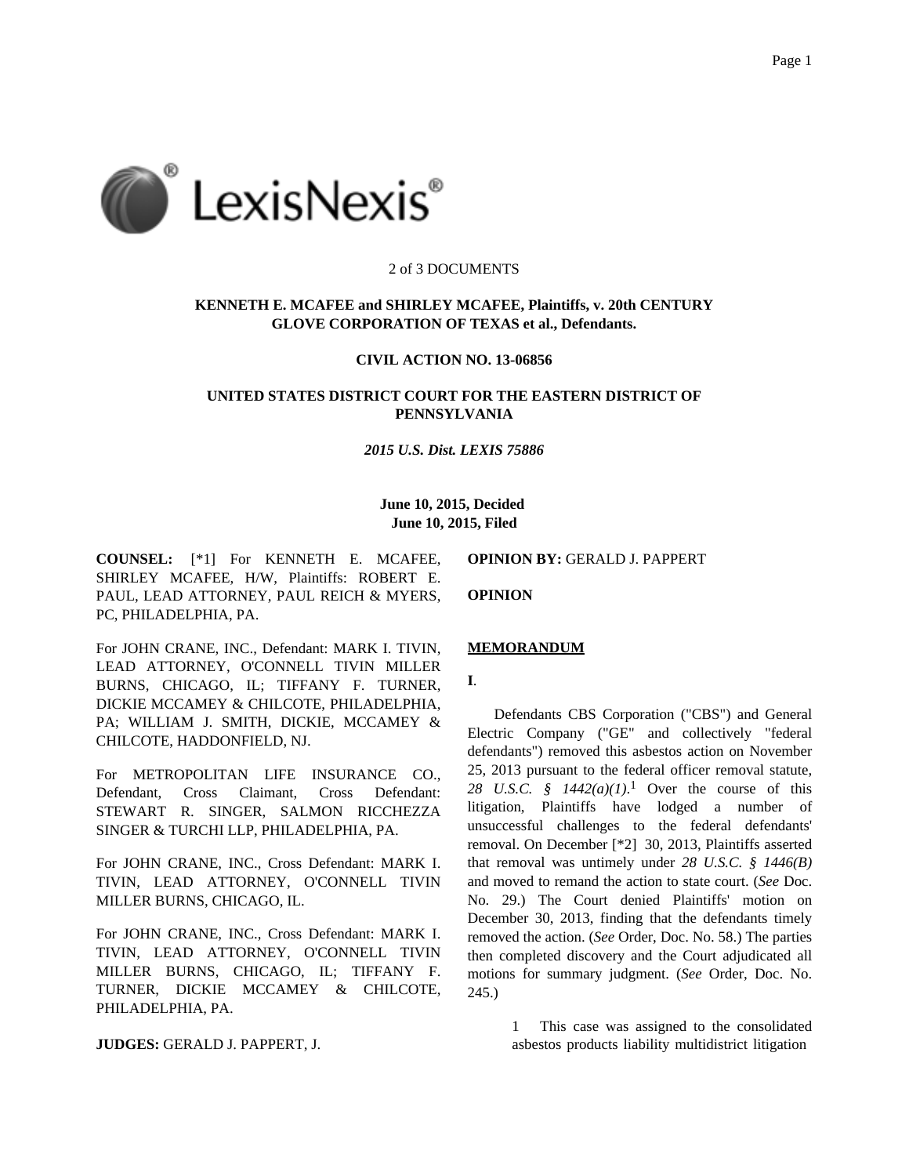

### 2 of 3 DOCUMENTS

# **KENNETH E. MCAFEE and SHIRLEY MCAFEE, Plaintiffs, v. 20th CENTURY GLOVE CORPORATION OF TEXAS et al., Defendants.**

#### **CIVIL ACTION NO. 13-06856**

## **UNITED STATES DISTRICT COURT FOR THE EASTERN DISTRICT OF PENNSYLVANIA**

#### *2015 U.S. Dist. LEXIS 75886*

## **June 10, 2015, Decided June 10, 2015, Filed**

**COUNSEL:** [\*1] For KENNETH E. MCAFEE, SHIRLEY MCAFEE, H/W, Plaintiffs: ROBERT E. PAUL, LEAD ATTORNEY, PAUL REICH & MYERS, PC, PHILADELPHIA, PA.

**OPINION BY:** GERALD J. PAPPERT

**OPINION**

For JOHN CRANE, INC., Defendant: MARK I. TIVIN, LEAD ATTORNEY, O'CONNELL TIVIN MILLER BURNS, CHICAGO, IL; TIFFANY F. TURNER, DICKIE MCCAMEY & CHILCOTE, PHILADELPHIA, PA; WILLIAM J. SMITH, DICKIE, MCCAMEY & CHILCOTE, HADDONFIELD, NJ.

For METROPOLITAN LIFE INSURANCE CO., Defendant, Cross Claimant, Cross Defendant: STEWART R. SINGER, SALMON RICCHEZZA SINGER & TURCHI LLP, PHILADELPHIA, PA.

For JOHN CRANE, INC., Cross Defendant: MARK I. TIVIN, LEAD ATTORNEY, O'CONNELL TIVIN MILLER BURNS, CHICAGO, IL.

For JOHN CRANE, INC., Cross Defendant: MARK I. TIVIN, LEAD ATTORNEY, O'CONNELL TIVIN MILLER BURNS, CHICAGO, IL; TIFFANY F. TURNER, DICKIE MCCAMEY & CHILCOTE, PHILADELPHIA, PA.

**JUDGES:** GERALD J. PAPPERT, J.

# **MEMORANDUM**

**I**.

Defendants CBS Corporation ("CBS") and General Electric Company ("GE" and collectively "federal defendants") removed this asbestos action on November 25, 2013 pursuant to the federal officer removal statute, 28 U.S.C.  $\oint$  1442(a)(1).<sup>1</sup> Over the course of this litigation, Plaintiffs have lodged a number of unsuccessful challenges to the federal defendants' removal. On December [\*2] 30, 2013, Plaintiffs asserted that removal was untimely under *28 U.S.C. § 1446(B)* and moved to remand the action to state court. (*See* Doc. No. 29.) The Court denied Plaintiffs' motion on December 30, 2013, finding that the defendants timely removed the action. (*See* Order, Doc. No. 58.) The parties then completed discovery and the Court adjudicated all motions for summary judgment. (*See* Order, Doc. No. 245.)

> 1 This case was assigned to the consolidated asbestos products liability multidistrict litigation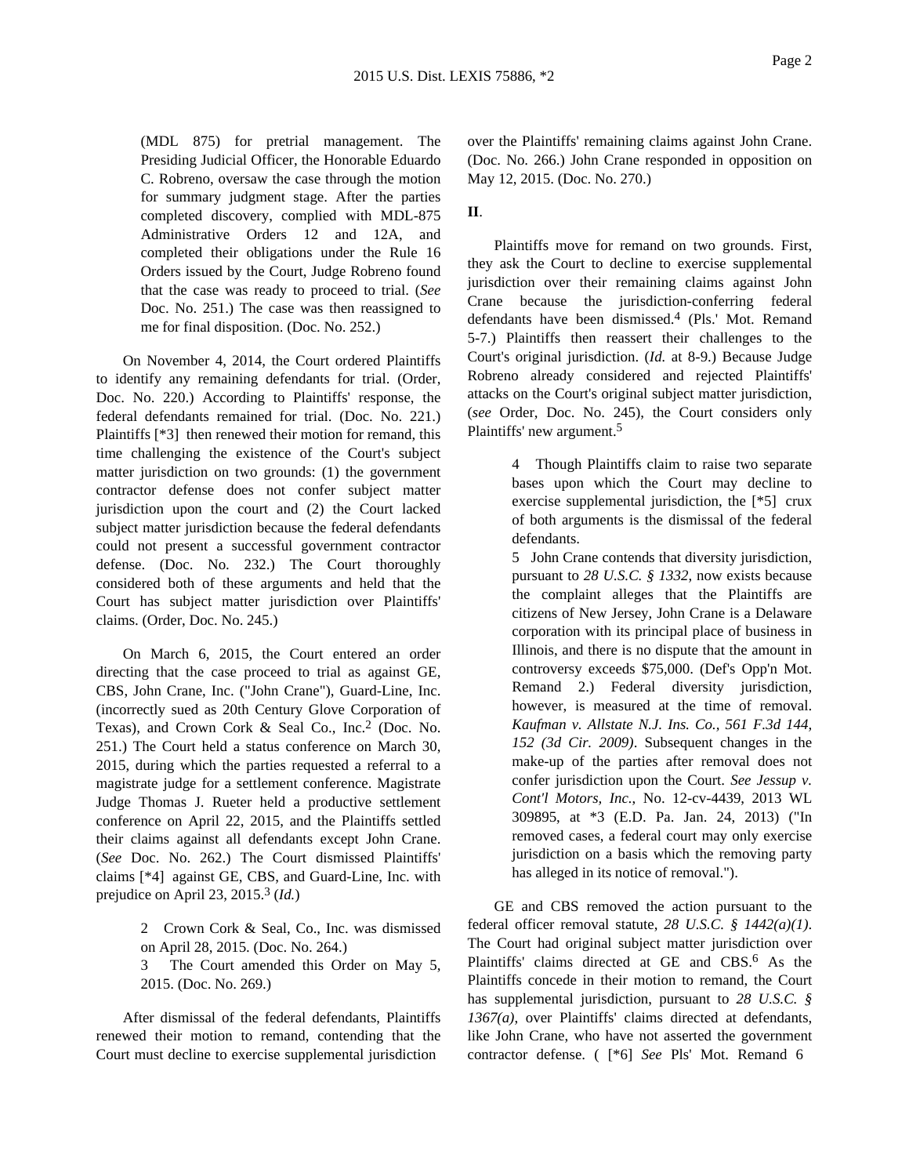(MDL 875) for pretrial management. The Presiding Judicial Officer, the Honorable Eduardo C. Robreno, oversaw the case through the motion for summary judgment stage. After the parties completed discovery, complied with MDL-875 Administrative Orders 12 and 12A, and completed their obligations under the Rule 16 Orders issued by the Court, Judge Robreno found that the case was ready to proceed to trial. (*See* Doc. No. 251.) The case was then reassigned to me for final disposition. (Doc. No. 252.)

On November 4, 2014, the Court ordered Plaintiffs to identify any remaining defendants for trial. (Order, Doc. No. 220.) According to Plaintiffs' response, the federal defendants remained for trial. (Doc. No. 221.) Plaintiffs [\*3] then renewed their motion for remand, this time challenging the existence of the Court's subject matter jurisdiction on two grounds: (1) the government contractor defense does not confer subject matter jurisdiction upon the court and (2) the Court lacked subject matter jurisdiction because the federal defendants could not present a successful government contractor defense. (Doc. No. 232.) The Court thoroughly considered both of these arguments and held that the Court has subject matter jurisdiction over Plaintiffs' claims. (Order, Doc. No. 245.)

On March 6, 2015, the Court entered an order directing that the case proceed to trial as against GE, CBS, John Crane, Inc. ("John Crane"), Guard-Line, Inc. (incorrectly sued as 20th Century Glove Corporation of Texas), and Crown Cork & Seal Co., Inc.2 (Doc. No. 251.) The Court held a status conference on March 30, 2015, during which the parties requested a referral to a magistrate judge for a settlement conference. Magistrate Judge Thomas J. Rueter held a productive settlement conference on April 22, 2015, and the Plaintiffs settled their claims against all defendants except John Crane. (*See* Doc. No. 262.) The Court dismissed Plaintiffs' claims [\*4] against GE, CBS, and Guard-Line, Inc. with prejudice on April 23, 2015.3 (*Id.*)

> 2 Crown Cork & Seal, Co., Inc. was dismissed on April 28, 2015. (Doc. No. 264.)

> 3 The Court amended this Order on May 5, 2015. (Doc. No. 269.)

After dismissal of the federal defendants, Plaintiffs renewed their motion to remand, contending that the Court must decline to exercise supplemental jurisdiction

over the Plaintiffs' remaining claims against John Crane. (Doc. No. 266.) John Crane responded in opposition on May 12, 2015. (Doc. No. 270.)

## **II**.

Plaintiffs move for remand on two grounds. First, they ask the Court to decline to exercise supplemental jurisdiction over their remaining claims against John Crane because the jurisdiction-conferring federal defendants have been dismissed.4 (Pls.' Mot. Remand 5-7.) Plaintiffs then reassert their challenges to the Court's original jurisdiction. (*Id.* at 8-9.) Because Judge Robreno already considered and rejected Plaintiffs' attacks on the Court's original subject matter jurisdiction, (*see* Order, Doc. No. 245), the Court considers only Plaintiffs' new argument.5

> 4 Though Plaintiffs claim to raise two separate bases upon which the Court may decline to exercise supplemental jurisdiction, the [\*5] crux of both arguments is the dismissal of the federal defendants.

> 5 John Crane contends that diversity jurisdiction, pursuant to *28 U.S.C. § 1332*, now exists because the complaint alleges that the Plaintiffs are citizens of New Jersey, John Crane is a Delaware corporation with its principal place of business in Illinois, and there is no dispute that the amount in controversy exceeds \$75,000. (Def's Opp'n Mot. Remand 2.) Federal diversity jurisdiction, however, is measured at the time of removal. *Kaufman v. Allstate N.J. Ins. Co., 561 F.3d 144, 152 (3d Cir. 2009)*. Subsequent changes in the make-up of the parties after removal does not confer jurisdiction upon the Court. *See Jessup v. Cont'l Motors, Inc.*, No. 12-cv-4439, 2013 WL 309895, at \*3 (E.D. Pa. Jan. 24, 2013) ("In removed cases, a federal court may only exercise jurisdiction on a basis which the removing party has alleged in its notice of removal.").

GE and CBS removed the action pursuant to the federal officer removal statute, *28 U.S.C. § 1442(a)(1)*. The Court had original subject matter jurisdiction over Plaintiffs' claims directed at GE and CBS.<sup>6</sup> As the Plaintiffs concede in their motion to remand, the Court has supplemental jurisdiction, pursuant to *28 U.S.C. § 1367(a)*, over Plaintiffs' claims directed at defendants, like John Crane, who have not asserted the government contractor defense. ( [\*6] *See* Pls' Mot. Remand 6